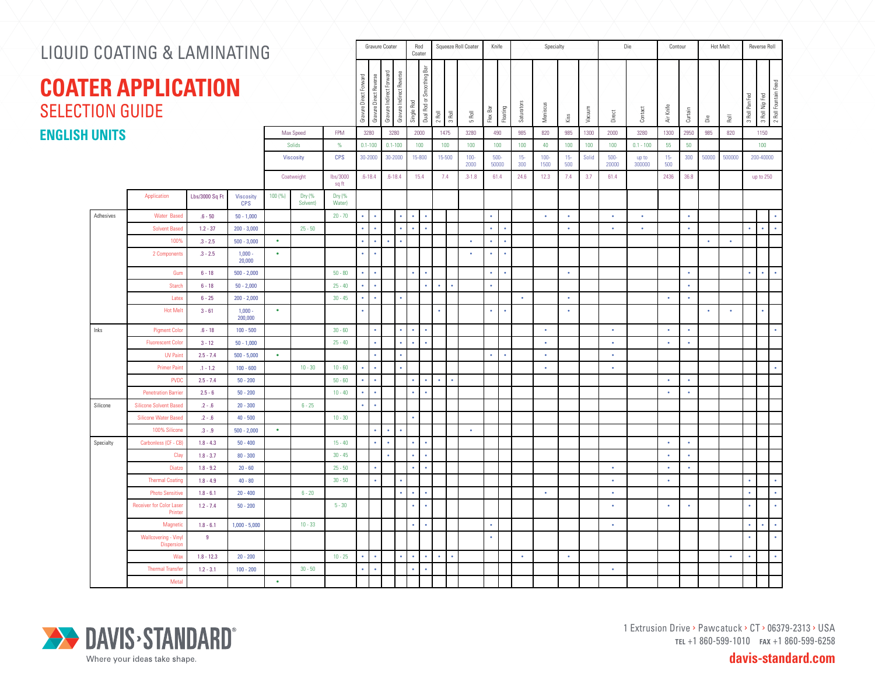| LIQUID COATING & LAMINATING                         |                                                                 |              |                      |                   |                    |                  |                      |                      | Gravure Coater |                                        | Rod<br>Coater              | Squeeze Roll Coater |                      |                 | Knife         |                      |               | Specialty       |               |        |                  | Die             | Contour       |           |           | Hot Melt                             | Reverse Roll   |                                        |  |
|-----------------------------------------------------|-----------------------------------------------------------------|--------------|----------------------|-------------------|--------------------|------------------|----------------------|----------------------|----------------|----------------------------------------|----------------------------|---------------------|----------------------|-----------------|---------------|----------------------|---------------|-----------------|---------------|--------|------------------|-----------------|---------------|-----------|-----------|--------------------------------------|----------------|----------------------------------------|--|
| <b>COATER APPLICATION</b><br><b>SELECTION GUIDE</b> |                                                                 |              |                      |                   |                    |                  |                      |                      |                | Gravure Indirect Reverse<br>Single Rod | 룹<br>Dual Rod or Smoothing | $2$ Roll            | 3 Roll               | 5 Roll          | Flex Bar      | Floating             | Saturators    | Meniscus        | Kiss          | Vacuum | Direct           | Contact         | Air Knife     | Curtain   | å         | $\overline{\overline{\overline{e}}}$ | 3 Roll Pan Fed | 2 Roll Fountain Feed<br>3 Roll Nip Fed |  |
| <b>ENGLISH UNITS</b><br>Max Speed<br><b>FPM</b>     |                                                                 |              |                      |                   |                    |                  |                      | 3280                 | 3280           |                                        | 2000                       |                     | 1475                 | 3280            | 490           |                      | 985           | 820             | 985           | 1300   | 2000             | 3280            | 1300          | 2950      | 985       | 820                                  |                | 1150                                   |  |
|                                                     |                                                                 |              |                      |                   | Solids             | $\%$             |                      | $0.1 - 100$          | $0.1 - 100$    |                                        | 100                        |                     | 100                  | 100             |               | 100                  | 100           | 40              | 100           | 100    | 100              | $0.1 - 100$     | 55            | 50        |           |                                      |                | 100                                    |  |
|                                                     |                                                                 |              |                      |                   | <b>Viscosity</b>   | <b>CPS</b>       |                      | 30-2000              | 30-2000        |                                        | 15-800                     |                     | 15-500               | $100 -$<br>2000 | 500-<br>50000 |                      | $15 -$<br>300 | $100 -$<br>1500 | $15 -$<br>500 | Solid  | $500 -$<br>20000 | up to<br>300000 | $15 -$<br>500 | 300       | 50000     | 500000                               |                | 200-40000                              |  |
|                                                     |                                                                 | Coatweight   |                      | lbs/3000<br>sq ft |                    | $.6 - 18.4$      | $.6 - 18.4$          |                      | 15.4           |                                        | 7.4                        | $.3 - 1.8$          | 61.4                 |                 | 24.6          | 12.3                 | 7.4           | 3.7             | 61.4          |        | 2436             | 36.8            |               |           |           | up to 250                            |                |                                        |  |
|                                                     | Application<br>Lbs/3000 Sq Ft<br><b>Viscosity</b><br><b>CPS</b> |              |                      | 100 (%)           | Dry (%<br>Solvent) | Dry (%<br>Water) |                      |                      |                |                                        |                            |                     |                      |                 |               |                      |               |                 |               |        |                  |                 |               |           |           |                                      |                |                                        |  |
| Adhesives                                           | <b>Water Based</b>                                              | $.6 - 50$    | $50 - 1,000$         |                   |                    | $20 - 70$        | $\bullet$            | $\bullet$            |                | $\bullet$                              | $\bullet$                  |                     |                      |                 | $\bullet$     |                      |               | $\bullet$       | $\bullet$     |        | $\bullet$        | $\bullet$       |               | $\bullet$ |           |                                      |                | $\bullet$                              |  |
|                                                     | <b>Solvent Based</b>                                            | $1.2 - 37$   | $200 - 3,000$        |                   | $25 - 50$          |                  | $\bullet$            | $\ddot{\phantom{0}}$ |                | $\bullet$<br>$\bullet$                 | $\bullet$                  |                     |                      |                 | $\bullet$     | $\bullet$            |               |                 | $\bullet$     |        | $\bullet$        | $\bullet$       |               | $\bullet$ |           |                                      | $\bullet$      | $\mathbf{r}$<br>$\bullet$              |  |
|                                                     | 100%                                                            | $.3 - 2.5$   | $500 - 3.000$        | $\bullet$         |                    |                  | $\ddot{\phantom{0}}$ | $\ddot{\phantom{0}}$ |                |                                        |                            |                     |                      | $\bullet$       | $\bullet$     | $\ddot{\phantom{0}}$ |               |                 |               |        |                  |                 |               |           | $\bullet$ | $\bullet$                            |                |                                        |  |
|                                                     | 2 Components                                                    | $.3 - 2.5$   | $1,000 -$<br>20,000  | $\bullet$         |                    |                  | $\bullet$            | $\bullet$            |                |                                        |                            |                     |                      | $\bullet$       | $\bullet$     | $\bullet$            |               |                 |               |        |                  |                 |               |           |           |                                      |                |                                        |  |
|                                                     | Gum                                                             | $6 - 18$     | $500 - 2,000$        |                   |                    | $50 - 80$        | $\bullet$            | $\ddot{\phantom{0}}$ |                | $\bullet$                              | $\bullet$                  |                     |                      |                 | $\bullet$     | $\bullet$            |               |                 | $\bullet$     |        |                  |                 |               | $\bullet$ |           |                                      | $\bullet$      | $\bullet$<br>$\bullet$                 |  |
|                                                     | Starch                                                          | $6 - 18$     | $50 - 2.000$         |                   |                    | $25 - 40$        | $\bullet$            | $\ddot{\phantom{0}}$ |                |                                        | $\bullet$                  | $\bullet$           |                      |                 | $\bullet$     |                      |               |                 |               |        |                  |                 |               | $\bullet$ |           |                                      |                |                                        |  |
|                                                     | Latex                                                           | $6 - 25$     | $200 - 2,000$        |                   |                    | $30 - 45$        | $\bullet$            | $\bullet$            |                | $\bullet$                              |                            |                     |                      |                 |               |                      | $\bullet$     |                 | $\bullet$     |        |                  |                 | $\bullet$     | $\bullet$ |           |                                      |                |                                        |  |
|                                                     | <b>Hot Melt</b>                                                 | $3 - 61$     | $1,000 -$<br>200,000 | $\bullet$         |                    |                  | $\ddot{\phantom{a}}$ |                      |                |                                        |                            |                     |                      |                 | $\bullet$     | $\bullet$            |               |                 | $\bullet$     |        |                  |                 |               |           | $\bullet$ | $\bullet$                            |                |                                        |  |
| Inks                                                | <b>Pigment Color</b>                                            | $.6 - 18$    | $100 - 500$          |                   |                    | $30 - 60$        |                      | ٠                    |                |                                        |                            |                     |                      |                 |               |                      |               | $\bullet$       |               |        | $\bullet$        |                 | $\bullet$     | $\bullet$ |           |                                      |                |                                        |  |
|                                                     | <b>Fluorescent Color</b>                                        | $3 - 12$     | $50 - 1,000$         |                   |                    | $25 - 40$        |                      | $\bullet$            |                | $\bullet$<br>$\bullet$                 | $\bullet$                  |                     |                      |                 |               |                      |               | $\bullet$       |               |        | $\bullet$        |                 | $\bullet$     | $\bullet$ |           |                                      |                |                                        |  |
|                                                     | <b>UV Pain</b>                                                  | $2.5 - 7.4$  | $500 - 5,000$        | $\bullet$         |                    |                  |                      | $\ddot{\phantom{a}}$ |                |                                        |                            |                     |                      |                 | $\bullet$     | $\bullet$            |               | $\bullet$       |               |        | $\bullet$        |                 |               |           |           |                                      |                |                                        |  |
|                                                     | Primer Paint                                                    | $.1 - 1.2$   | $100 - 600$          |                   | $10 - 30$          | $10 - 60$        | $\epsilon$           | $\sim$               |                |                                        |                            |                     |                      |                 |               |                      |               | $\bullet$       |               |        | $\sim$           |                 |               |           |           |                                      |                | $\bullet$                              |  |
|                                                     | <b>PVDC</b>                                                     | $2.5 - 7.4$  | $50 - 200$           |                   |                    | $50 - 60$        | $\bullet$            |                      |                |                                        | $\sim$                     | $\bullet$           | $\ddot{\phantom{a}}$ |                 |               |                      |               |                 |               |        |                  |                 | $\bullet$     | $\bullet$ |           |                                      |                |                                        |  |
|                                                     | <b>Penetration Barrier</b>                                      | $2.5 - 6$    | $50 - 200$           |                   |                    | $10 - 40$        | $\bullet$            | $\ddot{\phantom{0}}$ |                | $\bullet$                              |                            |                     |                      |                 |               |                      |               |                 |               |        |                  |                 | $\bullet$     | $\bullet$ |           |                                      |                |                                        |  |
| Silicone                                            | <b>Silicone Solvent Based</b>                                   | $.2 - .6$    | $20 - 300$           |                   | $6 - 25$           |                  | $\bullet$            | $\bullet$            |                |                                        |                            |                     |                      |                 |               |                      |               |                 |               |        |                  |                 |               |           |           |                                      |                |                                        |  |
|                                                     | <b>Silicone Water Based</b>                                     | $.2 - .6$    | $40 - 500$           |                   |                    | $10 - 30$        |                      |                      |                |                                        |                            |                     |                      |                 |               |                      |               |                 |               |        |                  |                 |               |           |           |                                      |                |                                        |  |
|                                                     | 100% Silicone                                                   | $.3 - .9$    | $500 - 2,000$        | $\bullet$         |                    |                  |                      | ٠                    | $\bullet$      |                                        |                            |                     |                      | $\bullet$       |               |                      |               |                 |               |        |                  |                 |               |           |           |                                      |                |                                        |  |
| Specialty                                           | Carbonless (CF - CB)                                            | $1.8 - 4.3$  | $50 - 400$           |                   |                    | $15 - 40$        |                      | $\ddot{\phantom{0}}$ | $\bullet$      |                                        |                            |                     |                      |                 |               |                      |               |                 |               |        |                  |                 | $\bullet$     | $\bullet$ |           |                                      |                |                                        |  |
|                                                     | Clay                                                            | $1.8 - 3.7$  | $80 - 300$           |                   |                    | $30 - 45$        |                      |                      |                |                                        |                            |                     |                      |                 |               |                      |               |                 |               |        |                  |                 | $\bullet$     | $\bullet$ |           |                                      |                |                                        |  |
|                                                     | Diatzo                                                          | $1.8 - 9.2$  | $20 - 60$            |                   |                    | $25 - 50$        |                      | $\bullet$            |                | $\sim$                                 | $\sim$                     |                     |                      |                 |               |                      |               |                 |               |        | $\bullet$        |                 | $\bullet$     | $\bullet$ |           |                                      |                |                                        |  |
|                                                     | <b>Thermal Coating</b>                                          | $1.8 - 4.9$  | $40 - 80$            |                   |                    | $30 - 50$        |                      | $\bullet$            |                | $\bullet$                              |                            |                     |                      |                 |               |                      |               |                 |               |        | $\bullet$        |                 | $\bullet$     |           |           |                                      | $\bullet$      | $\mathbf{a}$                           |  |
|                                                     | <b>Photo Sensitive</b>                                          | $1.8 - 6.1$  | $20 - 400$           |                   | $6 - 20$           |                  |                      |                      |                |                                        |                            |                     |                      |                 |               |                      |               | $\bullet$       |               |        | $\bullet$        |                 |               |           |           |                                      | $\bullet$      | $\bullet$                              |  |
|                                                     | <b>Receiver for Color Laser</b><br>Printer                      | $1.2 - 7.4$  | $50 - 200$           |                   |                    | $5 - 30$         |                      |                      |                | $\bullet$                              | $\bullet$                  |                     |                      |                 |               |                      |               |                 |               |        | $\bullet$        |                 | $\bullet$     | $\bullet$ |           |                                      |                |                                        |  |
|                                                     | Magneti                                                         | $1.8 - 6.1$  | $1,000 - 5,000$      |                   | $10 - 33$          |                  |                      |                      |                | $\sim$                                 | $\bullet$                  |                     |                      |                 | $\bullet$     |                      |               |                 |               |        | $\bullet$        |                 |               |           |           |                                      | $\bullet$      | $\hat{\phantom{a}}$<br>$\blacksquare$  |  |
|                                                     | Wallcovering - Viny<br>Dispersion                               | 9            |                      |                   |                    |                  |                      |                      |                |                                        |                            |                     |                      |                 | $\bullet$     |                      |               |                 |               |        |                  |                 |               |           |           |                                      | $\bullet$      |                                        |  |
|                                                     | Wax                                                             | $1.8 - 12.3$ | $20 - 200$           |                   |                    | $10 - 25$        | $\bullet$            | $\bullet$            |                | $\bullet$<br>$\bullet$                 | $\bullet$                  | $\bullet$           | $\bullet$            |                 |               |                      | $\bullet$     |                 | $\sim$        |        |                  |                 |               |           |           | $\bullet$                            | $\bullet$      | $\bullet$                              |  |
|                                                     | <b>Thermal Transfer</b>                                         | $1.2 - 3.1$  | $100 - 200$          |                   | $30 - 50$          |                  | $\bullet$            | $\sim$               |                | $\sim$                                 | $\bullet$                  |                     |                      |                 |               |                      |               |                 |               |        | $\bullet$        |                 |               |           |           |                                      |                |                                        |  |
|                                                     | Meta                                                            |              |                      | $\bullet$         |                    |                  |                      |                      |                |                                        |                            |                     |                      |                 |               |                      |               |                 |               |        |                  |                 |               |           |           |                                      |                |                                        |  |



1 Extrusion Drive > Pawcatuck > CT > 06379-2313 > USA **tel** +1 860-599-1010 **fax** +1 860-599-6258

**davis-standard.com**